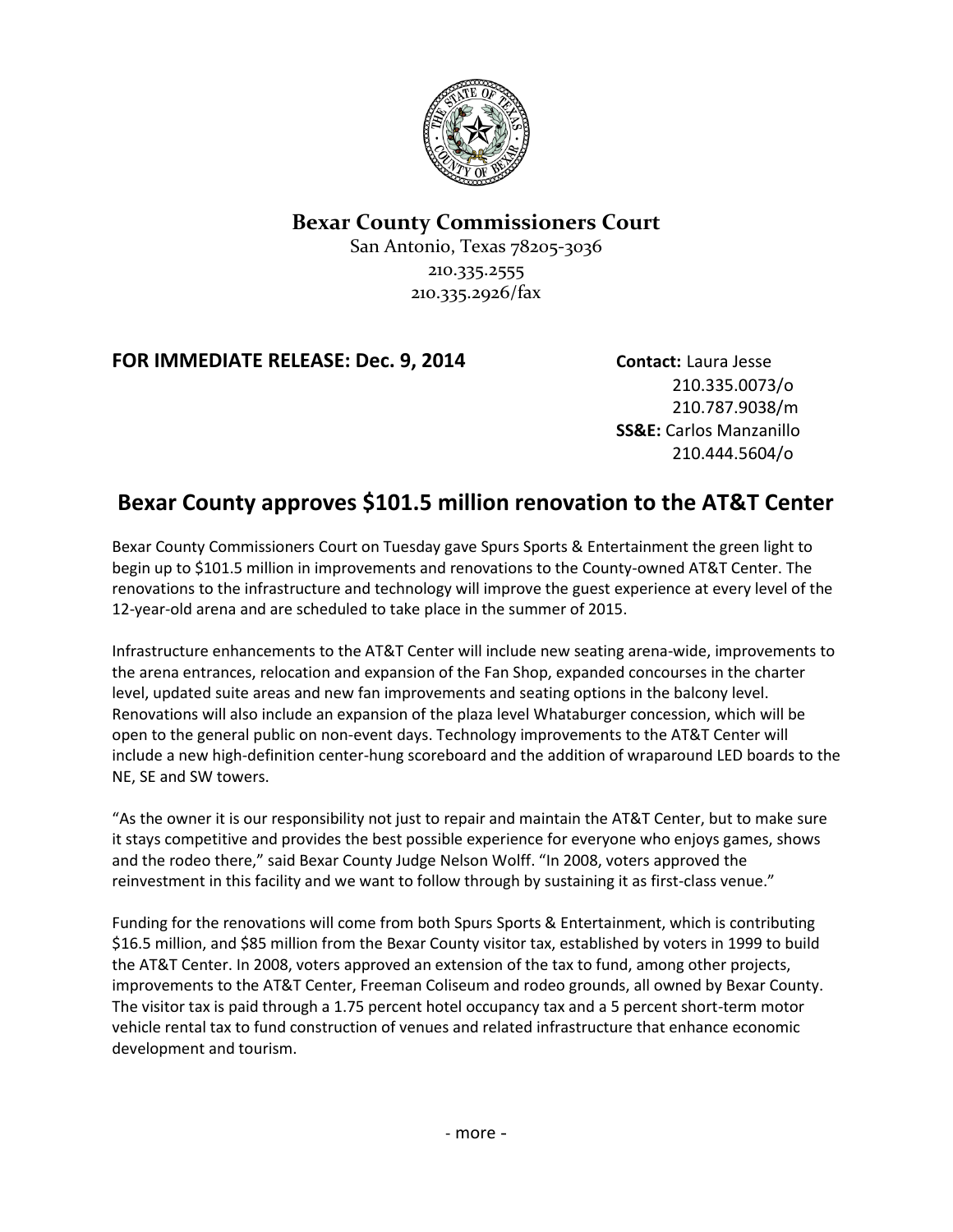

## **Bexar County Commissioners Court**

San Antonio, Texas 78205-3036 210.335.2555 210.335.2926/fax

## **FOR IMMEDIATE RELEASE: Dec. 9, 2014 Contact:** Laura Jesse

210.335.0073/o 210.787.9038/m **SS&E:** Carlos Manzanillo 210.444.5604/o

## **Bexar County approves \$101.5 million renovation to the AT&T Center**

Bexar County Commissioners Court on Tuesday gave Spurs Sports & Entertainment the green light to begin up to \$101.5 million in improvements and renovations to the County-owned AT&T Center. The renovations to the infrastructure and technology will improve the guest experience at every level of the 12-year-old arena and are scheduled to take place in the summer of 2015.

Infrastructure enhancements to the AT&T Center will include new seating arena-wide, improvements to the arena entrances, relocation and expansion of the Fan Shop, expanded concourses in the charter level, updated suite areas and new fan improvements and seating options in the balcony level. Renovations will also include an expansion of the plaza level Whataburger concession, which will be open to the general public on non-event days. Technology improvements to the AT&T Center will include a new high-definition center-hung scoreboard and the addition of wraparound LED boards to the NE, SE and SW towers.

"As the owner it is our responsibility not just to repair and maintain the AT&T Center, but to make sure it stays competitive and provides the best possible experience for everyone who enjoys games, shows and the rodeo there," said Bexar County Judge Nelson Wolff. "In 2008, voters approved the reinvestment in this facility and we want to follow through by sustaining it as first-class venue."

Funding for the renovations will come from both Spurs Sports & Entertainment, which is contributing \$16.5 million, and \$85 million from the Bexar County visitor tax, established by voters in 1999 to build the AT&T Center. In 2008, voters approved an extension of the tax to fund, among other projects, improvements to the AT&T Center, Freeman Coliseum and rodeo grounds, all owned by Bexar County. The visitor tax is paid through a 1.75 percent hotel occupancy tax and a 5 percent short-term motor vehicle rental tax to fund construction of venues and related infrastructure that enhance economic development and tourism.